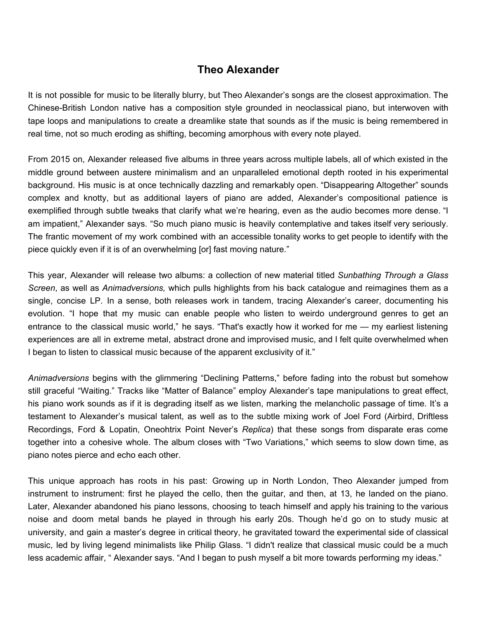## **Theo Alexander**

It is not possible for music to be literally blurry, but Theo Alexander's songs are the closest approximation. The Chinese-British London native has a composition style grounded in neoclassical piano, but interwoven with tape loops and manipulations to create a dreamlike state that sounds as if the music is being remembered in real time, not so much eroding as shifting, becoming amorphous with every note played.

From 2015 on, Alexander released five albums in three years across multiple labels, all of which existed in the middle ground between austere minimalism and an unparalleled emotional depth rooted in his experimental background. His music is at once technically dazzling and remarkably open. "Disappearing Altogether" sounds complex and knotty, but as additional layers of piano are added, Alexander's compositional patience is exemplified through subtle tweaks that clarify what we're hearing, even as the audio becomes more dense. "I am impatient," Alexander says. "So much piano music is heavily contemplative and takes itself very seriously. The frantic movement of my work combined with an accessible tonality works to get people to identify with the piece quickly even if it is of an overwhelming [or] fast moving nature."

This year, Alexander will release two albums: a collection of new material titled *Sunbathing Through a Glass Screen*, as well as *Animadversions,* which pulls highlights from his back catalogue and reimagines them as a single, concise LP. In a sense, both releases work in tandem, tracing Alexander's career, documenting his evolution. "I hope that my music can enable people who listen to weirdo underground genres to get an entrance to the classical music world," he says. "That's exactly how it worked for me — my earliest listening experiences are all in extreme metal, abstract drone and improvised music, and I felt quite overwhelmed when I began to listen to classical music because of the apparent exclusivity of it."

*Animadversions* begins with the glimmering "Declining Patterns," before fading into the robust but somehow still graceful "Waiting." Tracks like "Matter of Balance" employ Alexander's tape manipulations to great effect, his piano work sounds as if it is degrading itself as we listen, marking the melancholic passage of time. It's a testament to Alexander's musical talent, as well as to the subtle mixing work of Joel Ford (Airbird, Driftless Recordings, Ford & Lopatin, Oneohtrix Point Never's *Replica*) that these songs from disparate eras come together into a cohesive whole. The album closes with "Two Variations," which seems to slow down time, as piano notes pierce and echo each other.

This unique approach has roots in his past: Growing up in North London, Theo Alexander jumped from instrument to instrument: first he played the cello, then the guitar, and then, at 13, he landed on the piano. Later, Alexander abandoned his piano lessons, choosing to teach himself and apply his training to the various noise and doom metal bands he played in through his early 20s. Though he'd go on to study music at university, and gain a master's degree in critical theory, he gravitated toward the experimental side of classical music, led by living legend minimalists like Philip Glass. "I didn't realize that classical music could be a much less academic affair, " Alexander says. "And I began to push myself a bit more towards performing my ideas."